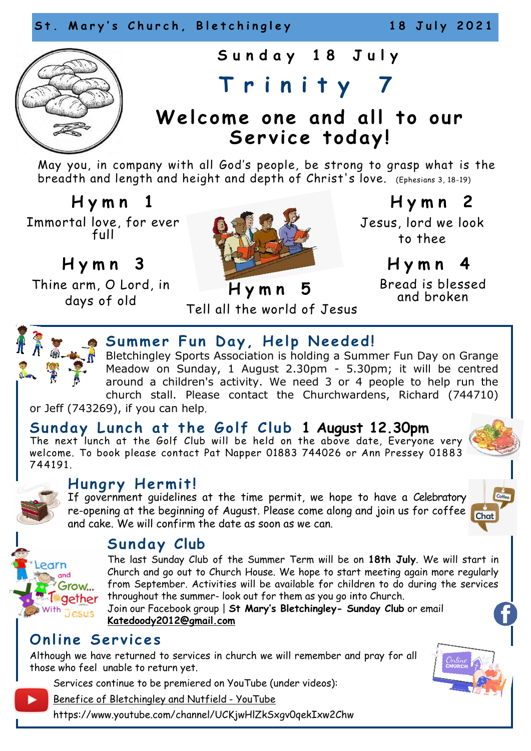

**S u n d a y 1 8 J u l y** 

# **T r i n i t y 7**

## Welcome one and all to our Service today!

May you, in company with all God's people, be strong to grasp what is the breadth and length and height and depth of Christ's love. (Ephesians 3, 18-19)

 **H y m n 1** Immortal love, for ever full

**H y m n 3** 

Thine arm, O Lord, in days of old



 **H y m n 2** Jesus, lord we look to thee

**H y m n 4**

Bread is blessed and broken

Tell all the world of Jesus



### **Summer Fun Day, Help Needed!**

Bletchingley Sports Association is holding a Summer Fun Day on Grange Meadow on Sunday, 1 August 2.30pm - 5.30pm; it will be centred around a children's activity. We need 3 or 4 people to help run the church stall. Please contact the Churchwardens, Richard (744710)

or Jeff (743269), if you can help.

### Sunday Lunch at the Golf Club 1 August 12.30pm

The next lunch at the Golf Club will be held on the above date, Everyone very welcome. To book please contact Pat Napper 01883 744026 or Ann Pressey 01883 744191.



earn  $and$ Grow... gether

### **Hungry Hermit!**

If government guidelines at the time permit, we hope to have a Celebratory re-opening at the beginning of August. Please come along and join us for coffee Chat and cake. We will confirm the date as soon as we can.



## Sunday Club

The last Sunday Club of the Summer Term will be on **18th July**. We will start in Church and go out to Church House. We hope to start meeting again more regularly from September. Activities will be available for children to do during the services throughout the summer- look out for them as you go into Church.

Join our Facebook group | **St Mary's Bletchingley- Sunday Club** or email **[Katedoody2012@gmail.com](mailto:Katedoody2012@gmail.com)**

### **Online Services**

Although we have returned to services in church we will remember and pray for all those who feel unable to return yet.

Services continue to be premiered on YouTube (under videos):

[Benefice of Bletchingley and Nutfield](https://www.youtube.com/channel/UCKjwHlZkSxgv0qekIxw2Chw) - YouTube

https://www.youtube.com/channel/UCKjwHlZkSxgv0qekIxw2Chw

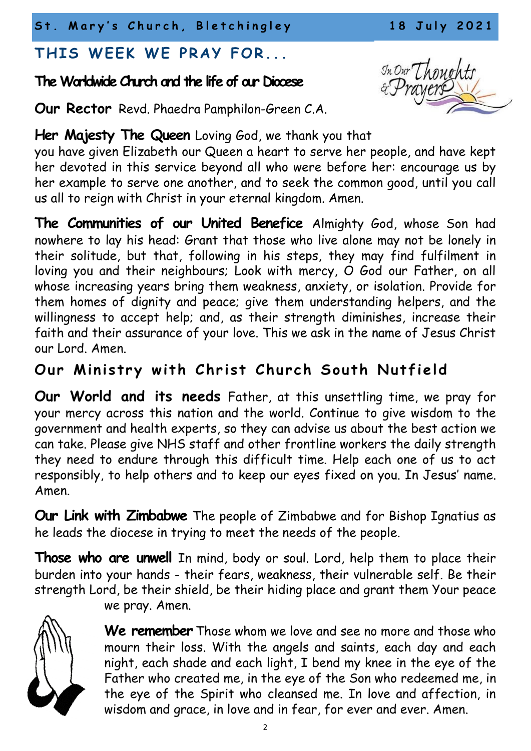St. Mary's Church, Bletchingley 18 July 2021

## THIS WEEK WE PRAY FOR...

## **The Worldwide Church and the life of our Diocese**

**Our Rector** Revd. Phaedra Pamphilon-Green C.A.

### **Her Majesty The Queen** Loving God, we thank you that

you have given Elizabeth our Queen a heart to serve her people, and have kept her devoted in this service beyond all who were before her: encourage us by her example to serve one another, and to seek the common good, until you call us all to reign with Christ in your eternal kingdom. Amen.

**The Communities of our United Benefice** Almighty God, whose Son had nowhere to lay his head: Grant that those who live alone may not be lonely in their solitude, but that, following in his steps, they may find fulfilment in loving you and their neighbours; Look with mercy, O God our Father, on all whose increasing years bring them weakness, anxiety, or isolation. Provide for them homes of dignity and peace; give them understanding helpers, and the willingness to accept help; and, as their strength diminishes, increase their faith and their assurance of your love. This we ask in the name of Jesus Christ our Lord. Amen.

## **Our Ministry with Christ Church South Nutfield**

**Our World and its needs** Father, at this unsettling time, we pray for your mercy across this nation and the world. Continue to give wisdom to the government and health experts, so they can advise us about the best action we can take. Please give NHS staff and other frontline workers the daily strength they need to endure through this difficult time. Help each one of us to act responsibly, to help others and to keep our eyes fixed on you. In Jesus' name. Amen.

**Our Link with Zimbabwe** The people of Zimbabwe and for Bishop Ignatius as he leads the diocese in trying to meet the needs of the people.

**Those who are unwell** In mind, body or soul. Lord, help them to place their burden into your hands - their fears, weakness, their vulnerable self. Be their strength Lord, be their shield, be their hiding place and grant them Your peace



we pray. Amen.

**We remember** Those whom we love and see no more and those who mourn their loss. With the angels and saints, each day and each night, each shade and each light, I bend my knee in the eye of the Father who created me, in the eye of the Son who redeemed me, in the eye of the Spirit who cleansed me. In love and affection, in wisdom and grace, in love and in fear, for ever and ever. Amen.

In Our Thoughts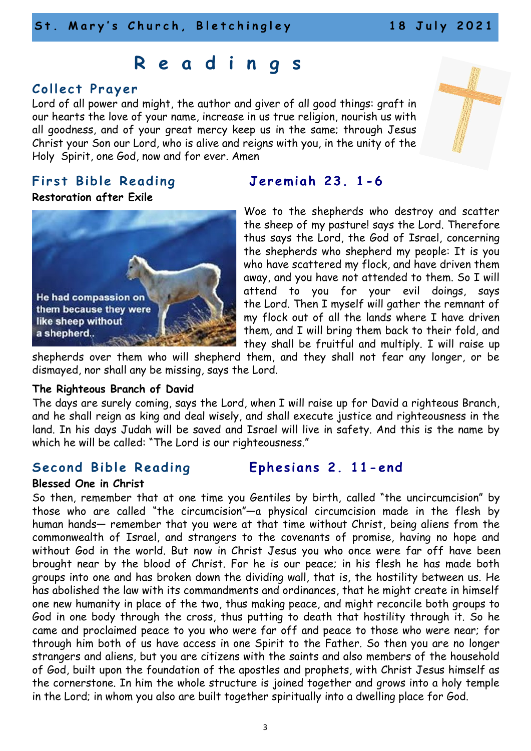## **R e a d i n g s**

### **C oll e c t P r a y er**

Lord of all power and might, the author and giver of all good things: graft in our hearts the love of your name, increase in us true religion, nourish us with all goodness, and of your great mercy keep us in the same; through Jesus Christ your Son our Lord, who is alive and reigns with you, in the unity of the Holy Spirit, one God, now and for ever. Amen

### First Bible Reading **Jeremiah 23. 1-6**

### **Restoration after Exile**



Woe to the shepherds who destroy and scatter the sheep of my pasture! says the Lord. Therefore thus says the Lord, the God of Israel, concerning the shepherds who shepherd my people: It is you who have scattered my flock, and have driven them away, and you have not attended to them. So I will attend to you for your evil doings, says the Lord. Then I myself will gather the remnant of my flock out of all the lands where I have driven them, and I will bring them back to their fold, and they shall be fruitful and multiply. I will raise up

shepherds over them who will shepherd them, and they shall not fear any longer, or be dismayed, nor shall any be missing, says the Lord.

### **The Righteous Branch of David**

The days are surely coming, says the Lord, when I will raise up for David a righteous Branch, and he shall reign as king and deal wisely, and shall execute justice and righteousness in the land. In his days Judah will be saved and Israel will live in safety. And this is the name by which he will be called: "The Lord is our righteousness."

### **Second Bible Reading Fphesians 2. 11-end**

**Blessed One in Christ**

So then, remember that at one time you Gentiles by birth, called "the uncircumcision" by those who are called "the circumcision"—a physical circumcision made in the flesh by human hands— remember that you were at that time without Christ, being aliens from the commonwealth of Israel, and strangers to the covenants of promise, having no hope and without God in the world. But now in Christ Jesus you who once were far off have been brought near by the blood of Christ. For he is our peace; in his flesh he has made both groups into one and has broken down the dividing wall, that is, the hostility between us. He has abolished the law with its commandments and ordinances, that he might create in himself one new humanity in place of the two, thus making peace, and might reconcile both groups to God in one body through the cross, thus putting to death that hostility through it. So he came and proclaimed peace to you who were far off and peace to those who were near; for through him both of us have access in one Spirit to the Father. So then you are no longer strangers and aliens, but you are citizens with the saints and also members of the household of God, built upon the foundation of the apostles and prophets, with Christ Jesus himself as the cornerstone. In him the whole structure is joined together and grows into a holy temple in the Lord; in whom you also are built together spiritually into a dwelling place for God.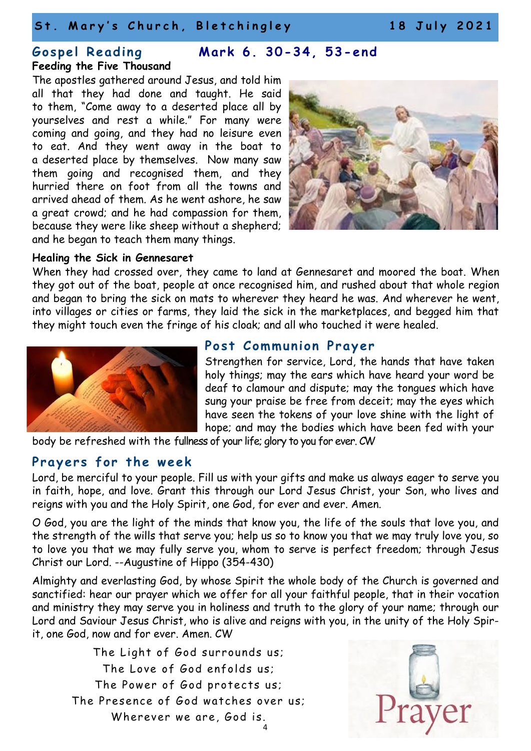### St. Mary's Church, Bletchingley 18 July 2021

# **Feeding the Five Thousand**

### **G o s p el R e a di n g M ar k 6 . 3 0-3 4 , 5 3-e nd**

The apostles gathered around Jesus, and told him all that they had done and taught. He said to them, "Come away to a deserted place all by yourselves and rest a while." For many were coming and going, and they had no leisure even to eat. And they went away in the boat to a deserted place by themselves. Now many saw them going and recognised them, and they hurried there on foot from all the towns and arrived ahead of them. As he went ashore, he saw a great crowd; and he had compassion for them, because they were like sheep without a shepherd; and he began to teach them many things.



### **Healing the Sick in Gennesaret**

When they had crossed over, they came to land at Gennesaret and moored the boat. When they got out of the boat, people at once recognised him, and rushed about that whole region and began to bring the sick on mats to wherever they heard he was. And wherever he went, into villages or cities or farms, they laid the sick in the marketplaces, and begged him that they might touch even the fringe of his cloak; and all who touched it were healed.



### **Post Communion Prayer**

Strengthen for service, Lord, the hands that have taken holy things; may the ears which have heard your word be deaf to clamour and dispute; may the tongues which have sung your praise be free from deceit; may the eyes which have seen the tokens of your love shine with the light of hope; and may the bodies which have been fed with your

body be refreshed with the fullness of your life; glory to you for ever. CW

### **Prayers for the week**

Lord, be merciful to your people. Fill us with your gifts and make us always eager to serve you in faith, hope, and love. Grant this through our Lord Jesus Christ, your Son, who lives and reigns with you and the Holy Spirit, one God, for ever and ever. Amen.

O God, you are the light of the minds that know you, the life of the souls that love you, and the strength of the wills that serve you; help us so to know you that we may truly love you, so to love you that we may fully serve you, whom to serve is perfect freedom; through Jesus Christ our Lord. --Augustine of Hippo (354-430)

Almighty and everlasting God, by whose Spirit the whole body of the Church is governed and sanctified: hear our prayer which we offer for all your faithful people, that in their vocation and ministry they may serve you in holiness and truth to the glory of your name; through our Lord and Saviour Jesus Christ, who is alive and reigns with you, in the unity of the Holy Spirit, one God, now and for ever. Amen. CW

4 The Light of God surrounds us; The Love of God enfolds us; The Power of God protects us; The Presence of God watches over us; Wherever we are, God is.

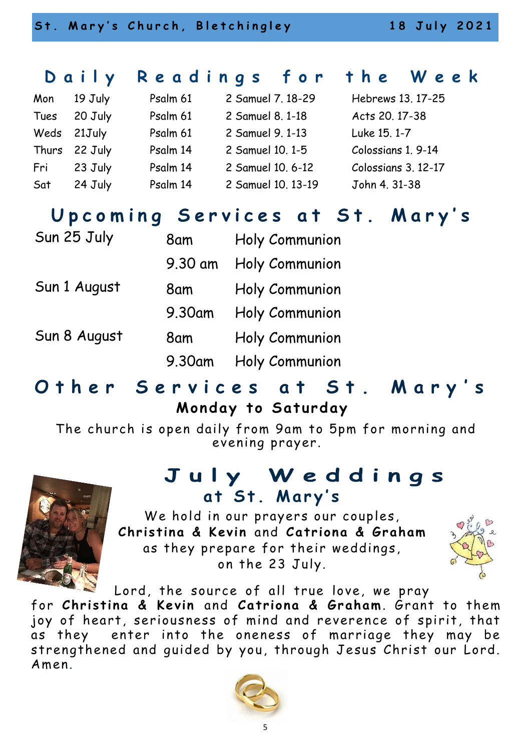## **D a i l y R e a d i n g s f o r t h e W e e k**

| Mon  | 19 July       | Psalm 61 | 2 Samuel 7, 18-29  | Hebrews 13. 17-25   |
|------|---------------|----------|--------------------|---------------------|
| Tues | 20 July       | Psalm 61 | 2 Samuel 8, 1-18   | Acts 20, 17-38      |
|      | Weds 21July   | Psalm 61 | 2 Samuel 9, 1-13   | Luke 15, 1-7        |
|      | Thurs 22 July | Psalm 14 | 2 Samuel 10, 1-5   | Colossians 1, 9-14  |
| Fri  | 23 July       | Psalm 14 | 2 Samuel 10, 6-12  | Colossians 3, 12-17 |
| Sat  | 24 July       | Psalm 14 | 2 Samuel 10, 13-19 | John 4. 31-38       |

## **U p c o m i n g S e r v i c e s a t S t . M a r y ' s**

| Sun 25 July  | 8am     | Holy Communion |
|--------------|---------|----------------|
|              | 9.30 am | Holy Communion |
| Sun 1 August | 8am     | Holy Communion |
|              | 9.30am  | Holy Communion |
| Sun 8 August | 8am     | Holy Communion |
|              | 9.30am  | Holy Communion |

## **O t h e r S e r v i c e s a t S t . M a r y ' s Monday to Saturday**

The church is open daily from 9am to 5pm for morning and evening prayer.

## July Weddings **a t S t . M a r y ' s**



We hold in our prayers our couples, **Christina & Kevin and Catriona & Graham** as they prepare for their weddings, on the 23 July.



Lord, the source of all true love, we pray

for Christina & Kevin and Catriona & Graham. Grant to them joy of heart, seriousness of mind and reverence of spirit, that as they enter into the oneness of marriage they may be strengthened and guided by you, through Jesus Christ our Lord. Amen.

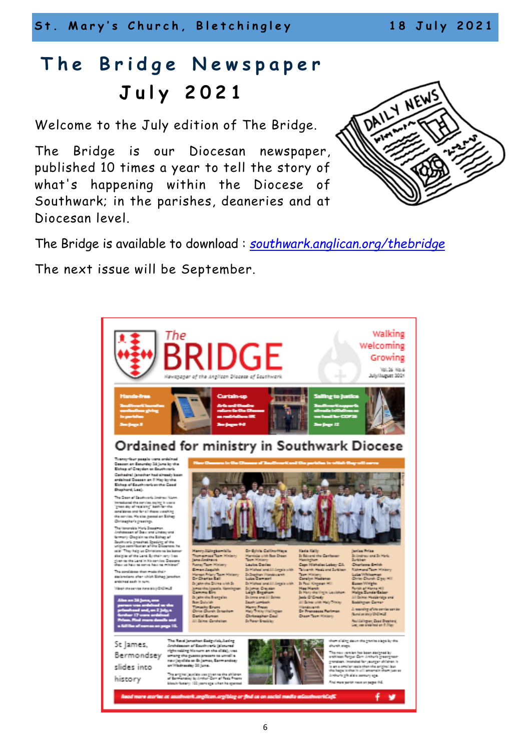St. Mary's Church, Bletchingley 18 July 2021

## The Bridge Newspaper **J u l y 2 0 2 1**

Welcome to the July edition of The Bridge.

The Bridge is our Diocesan newspaper, published 10 times a year to tell the story of what's happening within the Diocese of Southwark; in the parishes, deaneries and at Diocesan level.



The Bridge is available to download : *[southwark.anglican.org/thebridge](https://southwark.anglican.org/thebridge)*

The next issue will be September.